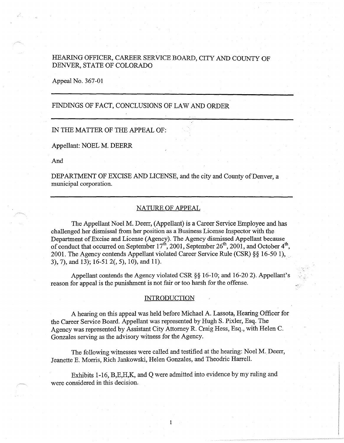# HEARING OFFICER, CAREER SERVICE BOARD, CITY AND COUNTY OF DENVER, STATE OF COLORADO

Appeal No. 367-01

# FINDINGS OF FACT, CONCLUSIONS OF LAW AND ORDER

## IN THE MATTER OF THE APPEAL OF:

Appellant: NOEL M. DEERR

And

DEPARTMENT OF EXCISE AND LICENSE, and the city and County of Denver, a municipal corporation.

## NATURE OF APPEAL

The Appellant Noel M. Deerr, (Appellant) is a Career Service Employee and has challenged her dismissal from her position as a Business License Inspector with the Department of Excise and License (Agency). The Agency dismissed Appellant because of conduct that occurred on September  $17^{\text{th}}$ , 2001, September  $26^{\text{th}}$ , 2001, and October  $4^{\text{th}}$ , 2001. The Agency contends Appellant violated Career Service Rule (CSR)§§ 16-50 1), \_ 3), 7), and 13); 16-51 2(, 5), 10), and 11).

Appellant contends the Agency violated CSR§§ 16-10; and 16-20 2). Appellant's reason for appeal is the punishment is not fair or too harsh for the offense.

#### **INTRODUCTION**

A hearing on this appeal was held before Michael A. Lassota, Hearing Officer for the Career Service Board. Appellant was represented by Hugh S. Pixler, Esq. The Agency was represented by Assistant City Attorney R. Craig Hess, Esq., with Helen C. Gonzales serving as the advisory witness for the Agency.

The following witnesses were called and testified at the hearing: Noel M. Deerr, Jeanette E. Morris, Rich Jankowski, Helen Gonzales, and Theodric Harrell.

Exhibits 1-16, B,E,H,K, and Q were admitted into evidence by my ruling and were considered in this decision.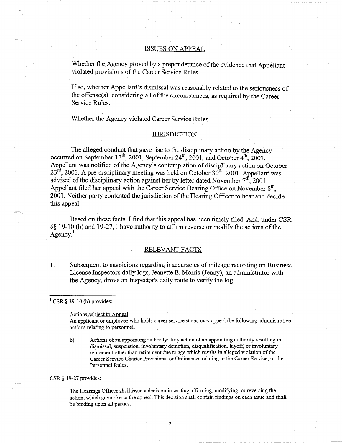#### ISSUES ON APPEAL

Whether the Agency proved by a preponderance of the evidence that Appellant violated provisions of the Career Service Rules.

If so, whether Appellant's dismissal was reasonably related to the seriousness of the offense(s), considering all of the circumstances, as required by the Career Service Rules.

Whether the Agency violated Career Service Rules.

#### **JURISDICTION**

The alleged conduct that gave rise to the disciplinary action by the Agency occurred on September  $17^{th}$ , 2001, September  $24^{th}$ , 2001, and October  $4^{th}$ , 2001. Appellant was notified of the Agency's contemplation of disciplinary action on October  $23^{rd}$ , 2001. A pre-disciplinary meeting was held on October 30<sup>th</sup>, 2001. Appellant was advised of the disciplinary action against her by letter dated November 7<sup>th</sup>, 2001. Appellant filed her appeal with the Career Service Hearing Office on November 8<sup>th</sup>, 2001. Neither party contested the jurisdiction of the Hearing Officer to hear and decide this appeal.

Based on these facts, I find that this appeal has been timely filed. And, under CSR §§ 19-10 (b) and 19-27, I have authority to affirm reverse or modify the actions of the  $A$ gency.<sup>1</sup>

### RELEVANT FACTS

1. Subsequent to suspicions regarding inaccuracies of mileage recording on Business License Inspectors daily logs, Jeanette E. Morris (Jenny), an administrator with the Agency, drove an Inspector's daily route to verify the log.

### $1$  CSR § 19-10 (b) provides:

#### Actions subject to Appeal

An applicant or employee who holds career service status may appeal the following administrative actions relating to personnel.

b) Actions of an appointing authority: Any action of an appointing authority resulting in dismissal, suspension, involuntary demotion, disqualification, layoff, or involuntary retirement other than retirement due to age which results in alleged violation of the Career Service Charter Provisions, or Ordinances relating to the Career Service, or the Personnel Rules.

#### CSR§ 19-27 provides:

The Hearings Officer shall issue a decision in writing affirming, modifying, or reversing the action, which gave rise to the appeal. This decision shall contain frndings on each issue and shall be binding upon all parties.

2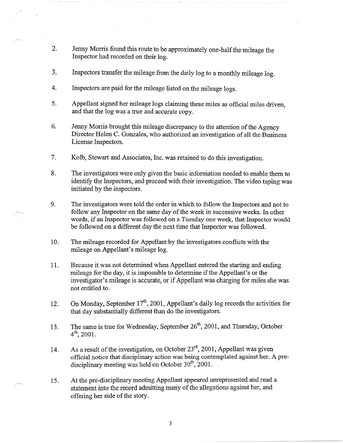- 2. Jenny Morris found this route to be approximately one-half the mileage the Inspector had recorded on their log.
- 3. Inspectors transfer the mileage from the daily log to a monthly mileage log.
- 4. Inspectors are paid for the mileage listed on the mileage logs.
- 5. Appellant signed her mileage logs claiming these miles as official miles driven, and that the log was a true and accurate copy.
- 6. Jenny Morris brought this mileage discrepancy to the attention of the Agency Director Helen C. Gonzales, who authorized an investigation of all the Business License Inspectors.
- 7. Kolb, Stewart and Associates, Inc. was retained to do this investigation.
- 8. The investigators were only given the basic information needed to enable them to identify the Inspectors, and proceed with their investigation. The video taping was initiated by the inspectors.
- 9. The investigators were told the order in which to follow the Inspectors and not to follow any Inspector on the same day of the week in successive weeks. In other words, if an Inspector was followed on a Tuesday one week, that Inspector would be followed on a different day the next time that Inspector was followed.
- 10. The mileage recorded for Appellant-by the investigators conflicts with the mileage on Appellant's mileage log.
- 11. Because it was not determined when Appellant entered the starting and ending mileage for the day, it is impossible to determine if the Appellant's or the investigator's mileage is accurate, or if Appellant was charging for miles she was not entitled to.
- 12. On Monday, September  $17<sup>th</sup>$ , 2001, Appellant's daily log records the activities for that day substantially different than do the investigators.
- 13. The same is true for Wednesday, September  $26<sup>th</sup>$ , 2001, and Thursday, October  $4^{th}$ , 2001.
- 14. As a result of the investigation, on October 23<sup>rd</sup>, 2001, Appellant was given official notice that disciplinary action was being contemplated against her. A predisciplinary meeting was held on October  $30<sup>th</sup>$ , 2001.

15. At the pre-disciplinary meeting Appellant appeared unrepresented and read a statement into the record admitting many of the allegations against her, and offering her side of the story.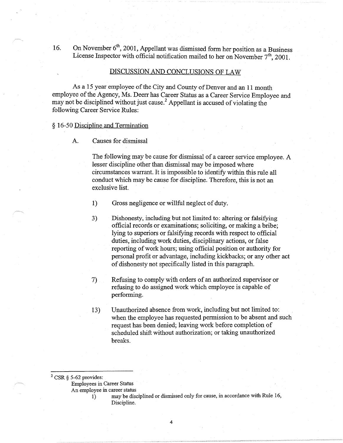16. On November  $6<sup>th</sup>$ , 2001, Appellant was dismissed form her position as a Business License Inspector with official notification mailed to her on November  $7<sup>th</sup>$ , 2001.

## DISCUSSION AND CONCLUSIONS OF LAW

As a 15 year employee of the City and County of Denver and an 11 month employee of the Agency, Ms. Deerr has Career Status as a Career Service Employee and may not be disciplined without just cause.<sup>2</sup> Appellant is accused of violating the following Career Service Rules:

### § 16-50 Discipline and Termination

A. Causes for dismissal

The following may be cause for dismissal of a career service employee. A lesser discipline other than dismissal may be imposed where circumstances warrant. It is impossible to identify within this rule all conduct which may be cause for discipline. Therefore, this is not an exclusive list.

1) Gross negligence or willful neglect of duty.

- 3) Dishonesty, including but not limited to: altering or falsifying official records or examinations; soliciting, or making a bribe; lying to superiors or falsifying records with respect to official duties, including work duties, disciplinary actions, or false reporting of work hours; using official position or authority for personal profit or advantage, including kickbacks; or any other act of dishonesty not specifically listed in this paragraph.
- 7) Refusing to comply with orders of an authorized supervisor or refusing to do assigned work which employee is capable of performing.
- 13) Unauthorized absence from work, including but not limited to: when the employee has requested permission to be absent and such request has been denied; leaving work before completion of scheduled shift without authorization; or taking unauthorized breaks.

Employees in Career Status

An employee in career status

I) may be disciplined or dismissed only for cause, in accordance with Rule 16, Discipline.

4

 $2$  CSR § 5-62 provides: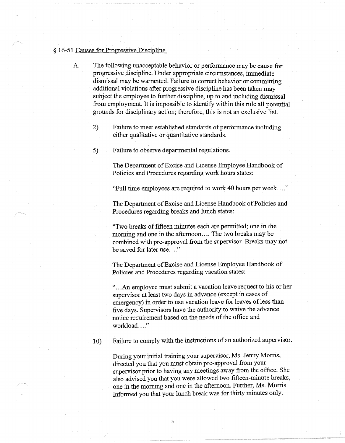#### § 16-51 Causes for Progressive Discipline

- A. The following unacceptable behavior or performance may be cause for progressive discipline. Under appropriate circumstances, immediate dismissal may be warranted. Failure to correct behavior or committing additional violations after progressive discipline has been taken may subject the employee to further discipline, up to and including dismissal from employment. It is impossible to identify within this rule all potential grounds for disciplinary action; therefore, this is not an exclusive list.
	- 2) Failure to meet established standards of performance including either qualitative or quantitative standards.
	- 5) Failure to observe departmental regulations.

The Department of Excise and License Employee Handbook of Policies and Procedures regarding work hours states:

"Full time employees are required to work 40 hours per week .... "

The Department of Excise and License Handbook of Policies and Procedures regarding breaks and lunch states:

"Two breaks of fifteen minutes each are permitted; one in the morning and one in the afternoon.... The two breaks may be combined with pre-approval from the supervisor. Breaks may not be saved for later use...."

The Department of Excise and License Employee Handbook of Policies and Procedures regarding vacation states:

" ... An employee must submit a vacation leave request to his or her supervisor at least two days in advance (except in cases of emergency) in order to use vacation leave for leaves of less than five days. Supervisors have the authority to waive the advance notice requirement based on the needs of the office and workload...."

10) Failure to comply with the instructions of an authorized supervisor.

During your initial training your supervisor, Ms. Jenny Morris, directed you that you must obtain pre-approval from your supervisor prior to having any meetings away from the office. She also advised you that you were allowed two fifteen-minute breaks, one in the morning and one in the afternoon. Further, Ms. Morris informed you that your lunch break was for thirty minutes only.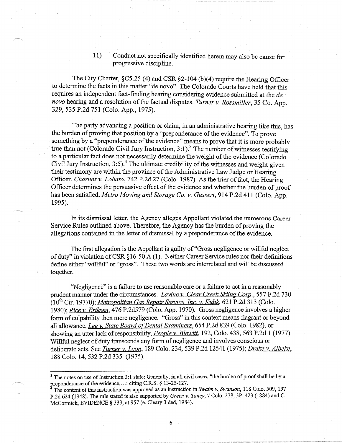11) Conduct not specifically identified herein may also be cause for progressive discipline.

The City Charter, §C5.25 (4) and CSR §2-104 (b)(4) require the Hearing Officer to determine the facts in this matter "de novo". The Colorado Courts have held that this requires an independent fact-finding hearing considering evidence submitted at the *de novo* hearing and a resolution of the factual disputes. *Turner v. Rossmiller,* 35 Co. App. 329, 535 P.2d 751 (Colo. App., 1975).

The party advancing a position or claim, in an administrative hearing like this, has the burden of proving that position by a "preponderance of the evidence". To prove something by a "preponderance of the evidence" means to prove that it is more probably true than not (Colorado Civil Jury Instruction,  $3:1$ ).<sup>3</sup> The number of witnesses testifying to a particular fact does not necessarily determine the weight of the evidence (Colorado Civil Jury Instruction,  $3:5$ ).<sup>4</sup> The ultimate credibility of the witnesses and weight given their testimony are within the province of the Administrative Law Judge or Hearing Officer. *Charnes v. Lobato,* 742 P.2d 27 (Colo. 1987). As the trier of fact, the Hearing Officer determines the persuasive effect of the evidence and whether the burden of proof has been satisfied. *Metro Moving and Storage Co. v. Gussert,* 914 P.2d 411 (Colo. App. 1995).

In its dismissal letter, the Agency alleges Appellant violated the numerous Career Service Rules outlined above. Therefore, the Agency has the burden of proving the allegations contained in the letter of dismissal by a preponderance of the evidence.

The first allegation is the Appellant is guilty of "Gross negligence or willful neglect" of duty" in violation of CSR § 16-50 A (1 ). Neither Career Service rules nor their definitions define either ''willful" or "gross". These two words are interrelated and will be discussed together.

''Negligence" is a failure to use reasonable care or a failure to act in a reasonably prudent manner under the circumstances. *Lavine v. Clear Creek Skiing Corp.,* 557 F.2d 730 (10th Cir. 19770); *Metropolitan Gas Repair Service. Inc. v. Kulik,* 621 P.2d 313 (Colo. 1980); *Rice v. Eriksen,* 476 P.2d579 (Colo. App. 1970). Gross negligence involves a higher form of culpability then mere negligence. "Gross" in this context means flagrant or beyond all allowance, *Lee v. State Board of Dental Examiners,* 654 P .2d 839 (Colo. 1982), or showing an utter lack ofresponsibility, *People v. Blewitt,* 192, Colo. 438, 563 P.2d 1 (1977). Willful neglect of duty transcends any form of negligence and involves conscious or deliberate acts. See *Turner v. Lyon,* 189 Colo. 234,539 P.2d 12541 (1975); *Drake* v. *Albeke,*  188 Colo. 14, 532 P.2d 335 (1975).

<sup>&</sup>lt;sup>3</sup> The notes on use of Instruction 3:1 state: Generally, in all civil cases, "the burden of proof shall be by a preponderance of the evidence, ... : citing C.R.S. § 13-25-127.

<sup>4</sup>The content of this instruction was approved as an instruction in *Swaim v. Swanson,* 118 Colo. 509, 197 P.2d 624 (1948). The rule stated is also supported by *Green v. Taney,* 7 Colo. 278, 3P. 423 (1884) and C. McCormick, EVIDENCE§ 339, at 957 (e. Cleary 3 ded, 1984).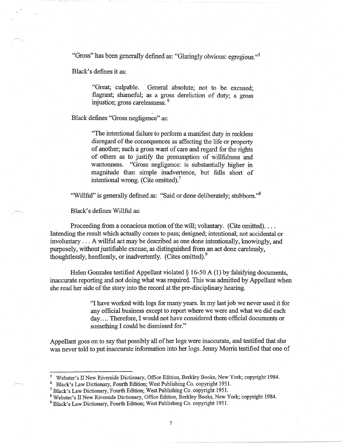"Gross" has been generally defined as: "Glaringly obvious: egregious."<sup>5</sup>

Black's defines it as:

"Great; culpable. General absolute; not to be excused; flagrant; shameful; as a gross dereliction of duty; a gross injustice; gross carelessness. 6

·- Black defines "Gross negligence" as:

"The intentional failure to perform a manifest duty in reckless disregard of the consequences as affecting the life or property of another; such a gross want of care and regard for the rights of others as to justify the presumption of willfulness and wantonness. "Gross negligence: is substantially higher in magnitude than simple inadvertence, but falls short of intentional wrong. (Cite omitted).<sup>7</sup>

"Willful" is generally defined as: "Said or done deliberately; stubborn."<sup>8</sup>

Black's defines Willful as:

Proceeding from a conscious motion of the will; voluntary. (Cite omitted)... Intending the result which actually comes to pass; designed; intentional; not accidental or involuntary ... A willful act may be described as one done intentionally, knowingly, and purposely, without justifiable excuse, as distinguished from an act done carelessly, thoughtlessly, heedlessly, or inadvertently. (Cites omitted).<sup>9</sup>

Helen Gonzales testified Appellant violated  $\S$  16-50 A (1) by falsifying documents, inaccurate reporting and not doing what was required. This was admitted by Appellant when she read her side of the story into the record at the pre-disciplinary hearing.

> "I have worked with logs for many years. In my last job we never used it for any official business except to report where we were and what we did each day .... Therefore, I would not have considered them official documents or something I could be dismissed for."

Appellant goes on to say that possibly all of her logs were inaccurate, and testified that she was never told to put inaccurate information into her logs. Jenny Morris testified that one of

<sup>5</sup>Webster's II New Riverside Dictionary, Office Edition, Berkley Books, New York; copyright 1984.

<sup>6</sup> Black's Law Dictionary, Fourth Edition; West Publishing Co. copyright 1951.

<sup>7</sup>Black's Law Dictionary, Fourth Edition; West Publishing Co. copyright 1951.

<sup>8</sup> Webster's II New Riverside Dictionary, Office Edition, Berkley Books, New York; copyright 1984.

<sup>&</sup>lt;sup>9</sup> Black's Law Dictionary, Fourth Edition; West Publishing Co. copyright 1951.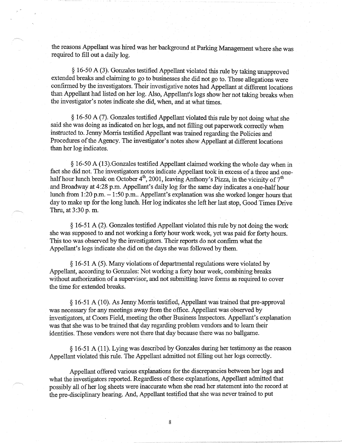the reasons Appellant was hired was her background at Parking Management where she was required to fill out a daily log.

§ 16-50 A (3). Gonzales testified Appellant violated this rule by taking unapproved extended breaks and claiming to go to businesses she did not go to. These allegations were confirmed by the investigators. Their investigative notes had Appellant at different locations than Appellant had listed on her log. Also, Appellant's logs show her not taking breaks when the investigator's notes indicate she did, when, and at what times.

§ 16-50 A (7). Gonzales testified Appellant violated this rule by not doing what she said she was doing as indicated on her logs, and not filling out paperwork correctly when instructed to. Jenny Morris testified Appellant was trained regarding the Policies and Procedures of the Agency. The investigator's notes show Appellant at different locations than her log indicates.

§ 16-50 A (13).Gonzales testified Appellant claimed working the whole day when in fact she did not. The investigators notes indicate Appellant took in excess of a three and onehalf hour lunch break on October  $4<sup>th</sup>$ , 2001, leaving Anthony's Pizza, in the vicinity of  $7<sup>th</sup>$ and Broadway at 4:28 p.m. Appellant's daily log for the same day indicates a one-half hour lunch from 1:20 p.m.  $-1:50$  p.m.. Appellant's explanation was she worked longer hours that day to make up for the long lunch. Her log indicates she left her last stop, Good Times Drive Thru, at 3:30 p. m.

§ 16-51 A (2). Gonzales testified Appellant violated this rule by not doing the work she was supposed to and not working a forty hour work week, yet was paid for forty hours. This too was observed by the investigators. Their reports do not confirm what the Appellant's logs indicate she did on the days she was followed by them.

§ 16-51 A ( 5). Many violations of departmental regulations were violated by Appellant, according to Gonzales: Not working a forty hour week, combining breaks without authorization of a supervisor, and not submitting leave forms as required to cover the time for extended breaks.

§ 16-51 A (10). As Jenny Morris testified, Appellant was trained that pre-approval was necessary for any meetings away from the office. Appellant was observed by investigators, at Coors Field, meeting the other Business Inspectors. Appellant's explanation was that she was to be trained that day regarding problem vendors and to learn their identities. These vendors were not there that day because there was no ballgame.

§ 16-51 A (11). Lying was described by Gonzales during her testimony as the reason Appellant violated this rule. The Appellant admitted not filling out her logs correctly.

Appellant offered various explanations for the discrepancies between her logs and what the investigators reported. Regardless of these explanations, Appellant admitted that possibly all of her log sheets were inaccurate when she read her statement into the record at the pre-disciplinary hearing. And, Appellant testified that she was never trained to put

8